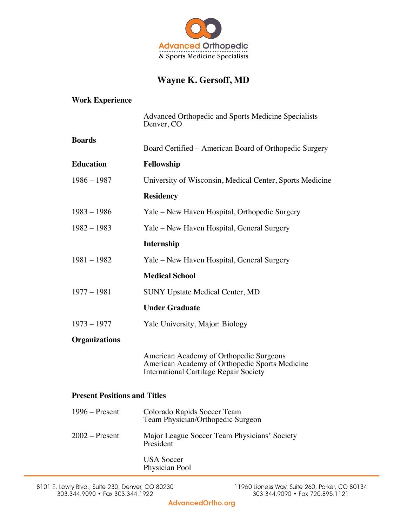

## **Wayne K. Gersoff, MD**

| <b>Work Experience</b>              |                                                                                                                                            |
|-------------------------------------|--------------------------------------------------------------------------------------------------------------------------------------------|
|                                     | Advanced Orthopedic and Sports Medicine Specialists<br>Denver, CO                                                                          |
| <b>Boards</b>                       | Board Certified – American Board of Orthopedic Surgery                                                                                     |
| <b>Education</b>                    | Fellowship                                                                                                                                 |
| $1986 - 1987$                       | University of Wisconsin, Medical Center, Sports Medicine                                                                                   |
|                                     | <b>Residency</b>                                                                                                                           |
| $1983 - 1986$                       | Yale – New Haven Hospital, Orthopedic Surgery                                                                                              |
| $1982 - 1983$                       | Yale – New Haven Hospital, General Surgery                                                                                                 |
|                                     | Internship                                                                                                                                 |
| $1981 - 1982$                       | Yale – New Haven Hospital, General Surgery                                                                                                 |
|                                     | <b>Medical School</b>                                                                                                                      |
| $1977 - 1981$                       | <b>SUNY Upstate Medical Center, MD</b>                                                                                                     |
|                                     | <b>Under Graduate</b>                                                                                                                      |
| $1973 - 1977$                       | Yale University, Major: Biology                                                                                                            |
| <b>Organizations</b>                |                                                                                                                                            |
|                                     | American Academy of Orthopedic Surgeons<br>American Academy of Orthopedic Sports Medicine<br><b>International Cartilage Repair Society</b> |
| <b>Present Positions and Titles</b> |                                                                                                                                            |
| $1996 -$ Present                    | Colorado Rapids Soccer Team<br>Team Physician/Orthopedic Surgeon                                                                           |
| $2002$ – Present                    | Major League Soccer Team Physicians' Society<br>President                                                                                  |
|                                     | <b>IISA</b> Soccer                                                                                                                         |

occer Physician Pool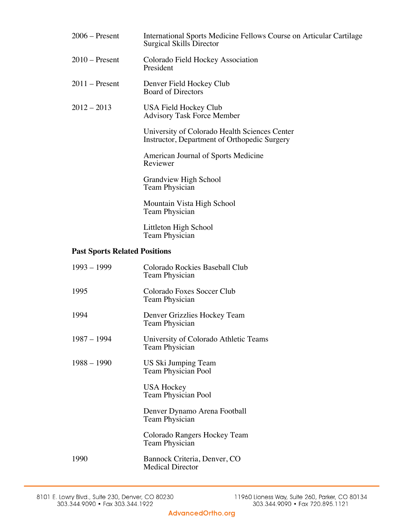| $2006$ – Present                     | International Sports Medicine Fellows Course on Articular Cartilage<br><b>Surgical Skills Director</b> |
|--------------------------------------|--------------------------------------------------------------------------------------------------------|
| $2010$ – Present                     | Colorado Field Hockey Association<br>President                                                         |
| $2011$ – Present                     | Denver Field Hockey Club<br><b>Board of Directors</b>                                                  |
| $2012 - 2013$                        | USA Field Hockey Club<br><b>Advisory Task Force Member</b>                                             |
|                                      | University of Colorado Health Sciences Center<br>Instructor, Department of Orthopedic Surgery          |
|                                      | American Journal of Sports Medicine<br>Reviewer                                                        |
|                                      | Grandview High School<br>Team Physician                                                                |
|                                      | Mountain Vista High School<br>Team Physician                                                           |
|                                      | Littleton High School<br>Team Physician                                                                |
| <b>Past Sports Related Positions</b> |                                                                                                        |
| $1993 - 1999$                        | Colorado Rockies Baseball Club<br>Team Physician                                                       |
| 1995                                 | Colorado Foxes Soccer Club<br>Team Physician                                                           |
| 1994                                 | Denver Grizzlies Hockey Team<br>Team Physician                                                         |
| $1987 - 1994$                        | University of Colorado Athletic Teams<br>Team Physician                                                |
| $1988 - 1990$                        | US Ski Jumping Team<br>Team Physician Pool                                                             |
|                                      | <b>USA Hockey</b><br>Team Physician Pool                                                               |
|                                      | Denver Dynamo Arena Football<br>Team Physician                                                         |
|                                      |                                                                                                        |

Colorado Rangers Hockey Team Team Physician

1990 Bannock Criteria, Denver, CO Medical Director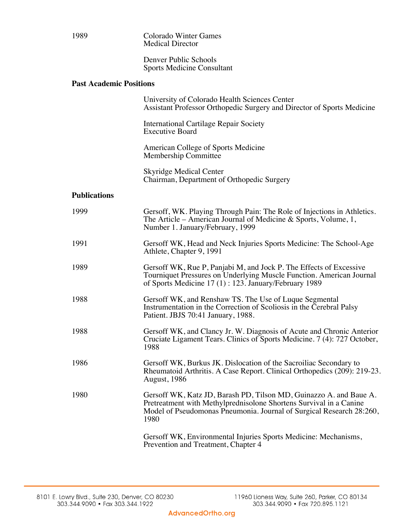| 1989                           | <b>Colorado Winter Games</b><br><b>Medical Director</b>                                                                                                                                                                  |
|--------------------------------|--------------------------------------------------------------------------------------------------------------------------------------------------------------------------------------------------------------------------|
|                                | Denver Public Schools<br><b>Sports Medicine Consultant</b>                                                                                                                                                               |
| <b>Past Academic Positions</b> |                                                                                                                                                                                                                          |
|                                | University of Colorado Health Sciences Center<br>Assistant Professor Orthopedic Surgery and Director of Sports Medicine                                                                                                  |
|                                | <b>International Cartilage Repair Society</b><br><b>Executive Board</b>                                                                                                                                                  |
|                                | American College of Sports Medicine<br>Membership Committee                                                                                                                                                              |
|                                | <b>Skyridge Medical Center</b><br>Chairman, Department of Orthopedic Surgery                                                                                                                                             |
| <b>Publications</b>            |                                                                                                                                                                                                                          |
| 1999                           | Gersoff, WK. Playing Through Pain: The Role of Injections in Athletics.<br>The Article – American Journal of Medicine & Sports, Volume, $1$ ,<br>Number 1. January/February, 1999                                        |
| 1991                           | Gersoff WK, Head and Neck Injuries Sports Medicine: The School-Age<br>Athlete, Chapter 9, 1991                                                                                                                           |
| 1989                           | Gersoff WK, Rue P, Panjabi M, and Jock P. The Effects of Excessive<br>Tourniquet Pressures on Underlying Muscle Function. American Journal<br>of Sports Medicine 17 (1) : 123. January/February 1989                     |
| 1988                           | Gersoff WK, and Renshaw TS. The Use of Luque Segmental<br>Instrumentation in the Correction of Scoliosis in the Cerebral Palsy<br>Patient. JBJS 70:41 January, 1988.                                                     |
| 1988                           | Gersoff WK, and Clancy Jr. W. Diagnosis of Acute and Chronic Anterior<br>Cruciate Ligament Tears. Clinics of Sports Medicine. 7 (4): 727 October,<br>1988                                                                |
| 1986                           | Gersoff WK, Burkus JK. Dislocation of the Sacroiliac Secondary to<br>Rheumatoid Arthritis. A Case Report. Clinical Orthopedics (209): 219-23.<br><b>August</b> , 1986                                                    |
| 1980                           | Gersoff WK, Katz JD, Barash PD, Tilson MD, Guinazzo A. and Baue A.<br>Pretreatment with Methylprednisolone Shortens Survival in a Canine<br>Model of Pseudomonas Pneumonia. Journal of Surgical Research 28:260,<br>1980 |
|                                | Gersoff WK, Environmental Injuries Sports Medicine: Mechanisms,<br>Prevention and Treatment, Chapter 4                                                                                                                   |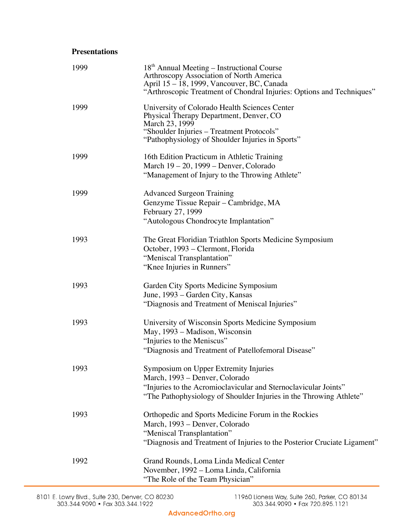## **Presentations**

| 1999 | 18 <sup>th</sup> Annual Meeting - Instructional Course<br>Arthroscopy Association of North America<br>April 15 – 18, 1999, Vancouver, BC, Canada<br>"Arthroscopic Treatment of Chondral Injuries: Options and Techniques" |
|------|---------------------------------------------------------------------------------------------------------------------------------------------------------------------------------------------------------------------------|
| 1999 | University of Colorado Health Sciences Center<br>Physical Therapy Department, Denver, CO<br>March 23, 1999<br>"Shoulder Injuries – Treatment Protocols"<br>"Pathophysiology of Shoulder Injuries in Sports"               |
| 1999 | 16th Edition Practicum in Athletic Training<br>March 19 – 20, 1999 – Denver, Colorado<br>"Management of Injury to the Throwing Athlete"                                                                                   |
| 1999 | <b>Advanced Surgeon Training</b><br>Genzyme Tissue Repair – Cambridge, MA<br>February 27, 1999<br>"Autologous Chondrocyte Implantation"                                                                                   |
| 1993 | The Great Floridian Triathlon Sports Medicine Symposium<br>October, 1993 – Clermont, Florida<br>"Meniscal Transplantation"<br>"Knee Injuries in Runners"                                                                  |
| 1993 | Garden City Sports Medicine Symposium<br>June, 1993 – Garden City, Kansas<br>"Diagnosis and Treatment of Meniscal Injuries"                                                                                               |
| 1993 | University of Wisconsin Sports Medicine Symposium<br>May, 1993 – Madison, Wisconsin<br>"Injuries to the Meniscus"<br>"Diagnosis and Treatment of Patellofemoral Disease"                                                  |
| 1993 | Symposium on Upper Extremity Injuries<br>March, 1993 – Denver, Colorado<br>"Injuries to the Acromioclavicular and Sternoclavicular Joints"<br>"The Pathophysiology of Shoulder Injuries in the Throwing Athlete"          |
| 1993 | Orthopedic and Sports Medicine Forum in the Rockies<br>March, 1993 - Denver, Colorado<br>"Meniscal Transplantation"<br>"Diagnosis and Treatment of Injuries to the Posterior Cruciate Ligament"                           |
| 1992 | Grand Rounds, Loma Linda Medical Center<br>November, 1992 - Loma Linda, California<br>"The Role of the Team Physician"                                                                                                    |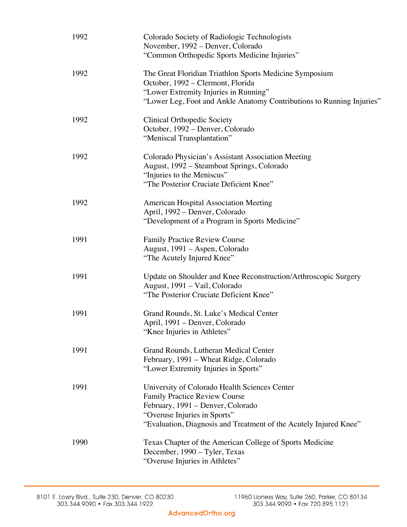| 1992 | Colorado Society of Radiologic Technologists<br>November, 1992 – Denver, Colorado<br>"Common Orthopedic Sports Medicine Injuries"                                                                                               |
|------|---------------------------------------------------------------------------------------------------------------------------------------------------------------------------------------------------------------------------------|
| 1992 | The Great Floridian Triathlon Sports Medicine Symposium<br>October, 1992 – Clermont, Florida<br>"Lower Extremity Injuries in Running"<br>"Lower Leg, Foot and Ankle Anatomy Contributions to Running Injuries"                  |
| 1992 | <b>Clinical Orthopedic Society</b><br>October, 1992 - Denver, Colorado<br>"Meniscal Transplantation"                                                                                                                            |
| 1992 | Colorado Physician's Assistant Association Meeting<br>August, 1992 - Steamboat Springs, Colorado<br>"Injuries to the Meniscus"<br>"The Posterior Cruciate Deficient Knee"                                                       |
| 1992 | <b>American Hospital Association Meeting</b><br>April, 1992 – Denver, Colorado<br>"Development of a Program in Sports Medicine"                                                                                                 |
| 1991 | <b>Family Practice Review Course</b><br>August, 1991 – Aspen, Colorado<br>"The Acutely Injured Knee"                                                                                                                            |
| 1991 | Update on Shoulder and Knee Reconstruction/Arthroscopic Surgery<br>August, 1991 - Vail, Colorado<br>"The Posterior Cruciate Deficient Knee"                                                                                     |
| 1991 | Grand Rounds, St. Luke's Medical Center<br>April, 1991 – Denver, Colorado<br>Knee Injuries in Athletes"                                                                                                                         |
| 1991 | Grand Rounds, Lutheran Medical Center<br>February, 1991 – Wheat Ridge, Colorado<br>"Lower Extremity Injuries in Sports"                                                                                                         |
| 1991 | University of Colorado Health Sciences Center<br><b>Family Practice Review Course</b><br>February, 1991 – Denver, Colorado<br>"Overuse Injuries in Sports"<br>"Evaluation, Diagnosis and Treatment of the Acutely Injured Knee" |
| 1990 | Texas Chapter of the American College of Sports Medicine<br>December, 1990 - Tyler, Texas<br>"Overuse Injuries in Athletes"                                                                                                     |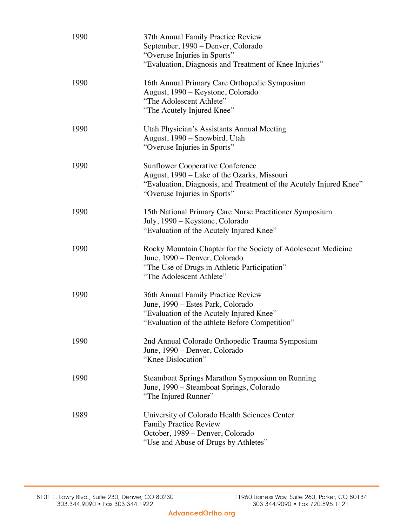| 1990 | 37th Annual Family Practice Review<br>September, 1990 - Denver, Colorado<br>"Overuse Injuries in Sports"<br>"Evaluation, Diagnosis and Treatment of Knee Injuries"                           |
|------|----------------------------------------------------------------------------------------------------------------------------------------------------------------------------------------------|
| 1990 | 16th Annual Primary Care Orthopedic Symposium<br>August, 1990 – Keystone, Colorado<br>"The Adolescent Athlete"<br>"The Acutely Injured Knee"                                                 |
| 1990 | Utah Physician's Assistants Annual Meeting<br>August, 1990 - Snowbird, Utah<br>"Overuse Injuries in Sports"                                                                                  |
| 1990 | <b>Sunflower Cooperative Conference</b><br>August, 1990 – Lake of the Ozarks, Missouri<br>"Evaluation, Diagnosis, and Treatment of the Acutely Injured Knee"<br>"Overuse Injuries in Sports" |
| 1990 | 15th National Primary Care Nurse Practitioner Symposium<br>July, 1990 - Keystone, Colorado<br>"Evaluation of the Acutely Injured Knee"                                                       |
| 1990 | Rocky Mountain Chapter for the Society of Adolescent Medicine<br>June, 1990 – Denver, Colorado<br>"The Use of Drugs in Athletic Participation"<br>"The Adolescent Athlete"                   |
| 1990 | 36th Annual Family Practice Review<br>June, 1990 - Estes Park, Colorado<br>"Evaluation of the Acutely Injured Knee"<br>"Evaluation of the athlete Before Competition"                        |
| 1990 | 2nd Annual Colorado Orthopedic Trauma Symposium<br>June, 1990 – Denver, Colorado<br>"Knee Dislocation"                                                                                       |
| 1990 | Steamboat Springs Marathon Symposium on Running<br>June, 1990 – Steamboat Springs, Colorado<br>"The Injured Runner"                                                                          |
| 1989 | University of Colorado Health Sciences Center<br><b>Family Practice Review</b><br>October, 1989 – Denver, Colorado<br>"Use and Abuse of Drugs by Athletes"                                   |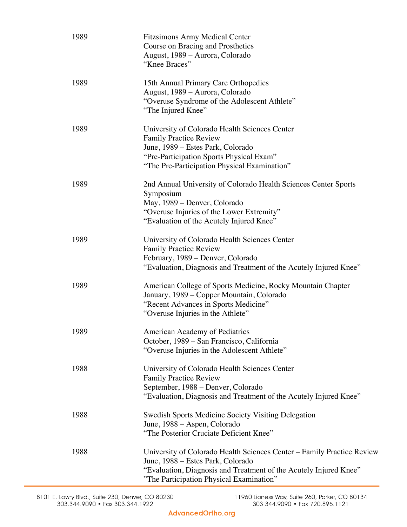| 1989 | <b>Fitzsimons Army Medical Center</b><br>Course on Bracing and Prosthetics<br>August, 1989 - Aurora, Colorado<br>"Knee Braces"                                                                                               |
|------|------------------------------------------------------------------------------------------------------------------------------------------------------------------------------------------------------------------------------|
| 1989 | 15th Annual Primary Care Orthopedics<br>August, 1989 – Aurora, Colorado<br>"Overuse Syndrome of the Adolescent Athlete"<br>"The Injured Knee"                                                                                |
| 1989 | University of Colorado Health Sciences Center<br><b>Family Practice Review</b><br>June, 1989 – Estes Park, Colorado<br>"Pre-Participation Sports Physical Exam"<br>"The Pre-Participation Physical Examination"              |
| 1989 | 2nd Annual University of Colorado Health Sciences Center Sports<br>Symposium<br>May, 1989 – Denver, Colorado<br>"Overuse Injuries of the Lower Extremity"<br>"Evaluation of the Acutely Injured Knee"                        |
| 1989 | University of Colorado Health Sciences Center<br><b>Family Practice Review</b><br>February, 1989 - Denver, Colorado<br>"Evaluation, Diagnosis and Treatment of the Acutely Injured Knee"                                     |
| 1989 | American College of Sports Medicine, Rocky Mountain Chapter<br>January, 1989 - Copper Mountain, Colorado<br>"Recent Advances in Sports Medicine"<br>"Overuse Injuries in the Athlete"                                        |
| 1989 | American Academy of Pediatrics<br>October, 1989 – San Francisco, California<br>"Overuse Injuries in the Adolescent Athlete"                                                                                                  |
| 1988 | University of Colorado Health Sciences Center<br><b>Family Practice Review</b><br>September, 1988 - Denver, Colorado<br>"Evaluation, Diagnosis and Treatment of the Acutely Injured Knee"                                    |
| 1988 | <b>Swedish Sports Medicine Society Visiting Delegation</b><br>June, 1988 – Aspen, Colorado<br>"The Posterior Cruciate Deficient Knee"                                                                                        |
| 1988 | University of Colorado Health Sciences Center - Family Practice Review<br>June, 1988 – Estes Park, Colorado<br>"Evaluation, Diagnosis and Treatment of the Acutely Injured Knee"<br>"The Participation Physical Examination" |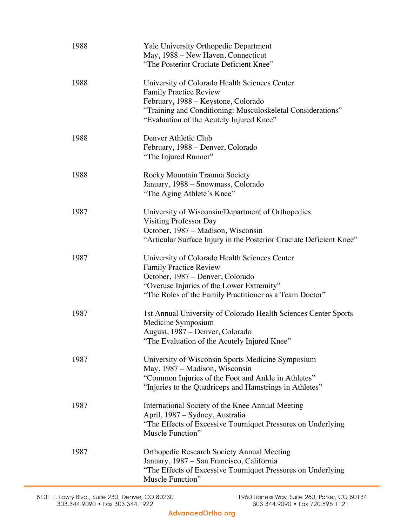| 1988 | Yale University Orthopedic Department<br>May, 1988 – New Haven, Connecticut<br>"The Posterior Cruciate Deficient Knee"                                                                                                           |
|------|----------------------------------------------------------------------------------------------------------------------------------------------------------------------------------------------------------------------------------|
| 1988 | University of Colorado Health Sciences Center<br><b>Family Practice Review</b><br>February, 1988 – Keystone, Colorado<br>"Training and Conditioning: Musculoskeletal Considerations"<br>"Evaluation of the Acutely Injured Knee" |
| 1988 | Denver Athletic Club<br>February, 1988 – Denver, Colorado<br>"The Injured Runner"                                                                                                                                                |
| 1988 | Rocky Mountain Trauma Society<br>January, 1988 - Snowmass, Colorado<br>"The Aging Athlete's Knee"                                                                                                                                |
| 1987 | University of Wisconsin/Department of Orthopedics<br><b>Visiting Professor Day</b><br>October, 1987 – Madison, Wisconsin<br>"Articular Surface Injury in the Posterior Cruciate Deficient Knee"                                  |
| 1987 | University of Colorado Health Sciences Center<br><b>Family Practice Review</b><br>October, 1987 - Denver, Colorado<br>"Overuse Injuries of the Lower Extremity"<br>"The Roles of the Family Practitioner as a Team Doctor"       |
| 1987 | 1st Annual University of Colorado Health Sciences Center Sports<br>Medicine Symposium<br>August, 1987 – Denver, Colorado<br>The Evaluation of the Acutely Injured Knee"                                                          |
| 1987 | University of Wisconsin Sports Medicine Symposium<br>May, 1987 – Madison, Wisconsin<br>"Common Injuries of the Foot and Ankle in Athletes"<br>"Injuries to the Quadriceps and Hamstrings in Athletes"                            |
| 1987 | International Society of the Knee Annual Meeting<br>April, 1987 – Sydney, Australia<br>"The Effects of Excessive Tourniquet Pressures on Underlying<br>Muscle Function"                                                          |
| 1987 | <b>Orthopedic Research Society Annual Meeting</b><br>January, 1987 – San Francisco, California<br>"The Effects of Excessive Tourniquet Pressures on Underlying<br>Muscle Function"                                               |